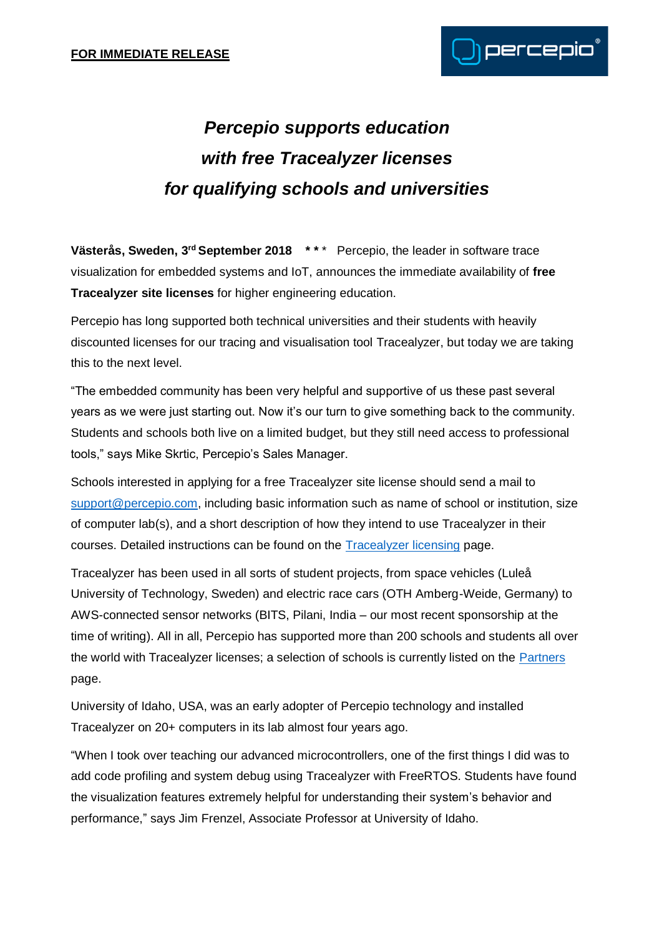

## *Percepio supports education with free Tracealyzer licenses for qualifying schools and universities*

Västerås, Sweden, 3<sup>rd</sup> September 2018 \*\*\* Percepio, the leader in software trace visualization for embedded systems and IoT, announces the immediate availability of **free Tracealyzer site licenses** for higher engineering education.

Percepio has long supported both technical universities and their students with heavily discounted licenses for our tracing and visualisation tool Tracealyzer, but today we are taking this to the next level.

"The embedded community has been very helpful and supportive of us these past several years as we were just starting out. Now it's our turn to give something back to the community. Students and schools both live on a limited budget, but they still need access to professional tools," says Mike Skrtic, Percepio's Sales Manager.

Schools interested in applying for a free Tracealyzer site license should send a mail to [support@percepio.com,](mailto:support@percepio.com) including basic information such as name of school or institution, size of computer lab(s), and a short description of how they intend to use Tracealyzer in their courses. Detailed instructions can be found on the [Tracealyzer licensing](https://percepio.com/licensing/) page.

Tracealyzer has been used in all sorts of student projects, from space vehicles (Luleå University of Technology, Sweden) and electric race cars (OTH Amberg-Weide, Germany) to AWS-connected sensor networks (BITS, Pilani, India – our most recent sponsorship at the time of writing). All in all, Percepio has supported more than 200 schools and students all over the world with Tracealyzer licenses; a selection of schools is currently listed on the [Partners](https://percepio.com/partners/) page.

University of Idaho, USA, was an early adopter of Percepio technology and installed Tracealyzer on 20+ computers in its lab almost four years ago.

"When I took over teaching our advanced microcontrollers, one of the first things I did was to add code profiling and system debug using Tracealyzer with FreeRTOS. Students have found the visualization features extremely helpful for understanding their system's behavior and performance," says Jim Frenzel, Associate Professor at University of Idaho.